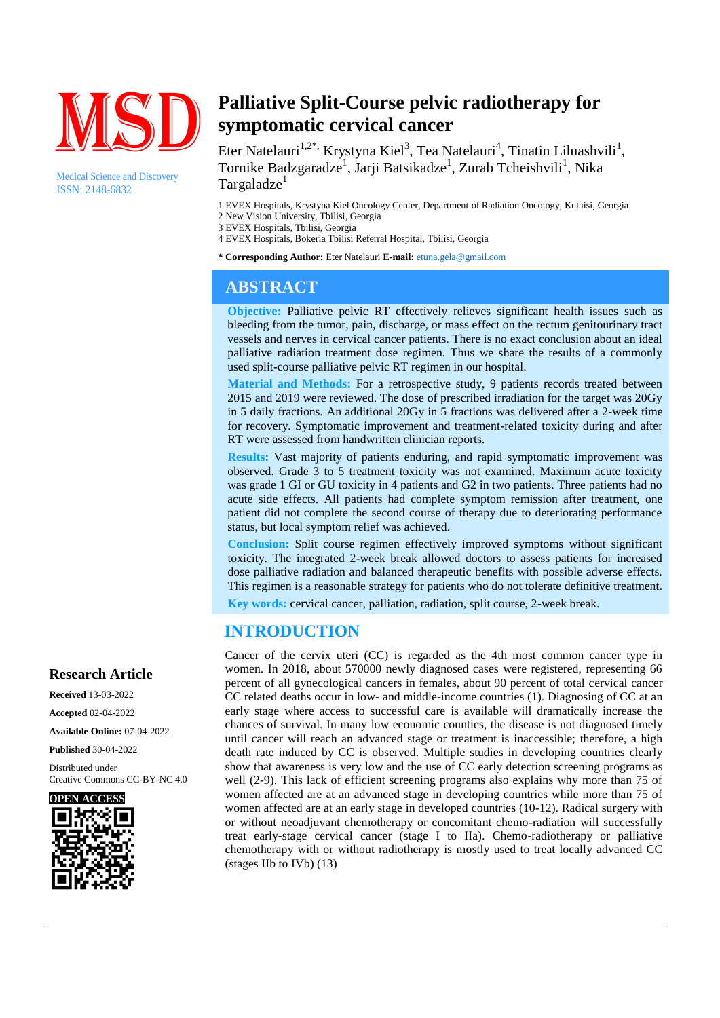

Medical Science and Discovery ISSN: 2148-6832

# **Palliative Split-Course pelvic radiotherapy for symptomatic cervical cancer**

Eter Natelauri<sup>1,2\*,</sup> Krystyna Kiel<sup>3</sup>, Tea Natelauri<sup>4</sup>, Tinatin Liluashvili<sup>1</sup>, Tornike Badzgaradze<sup>1</sup>, Jarji Batsikadze<sup>1</sup>, Zurab Tcheishvili<sup>1</sup>, Nika Targaladze<sup>1</sup>

1 EVEX Hospitals, Krystyna Kiel Oncology Center, Department of Radiation Oncology, Kutaisi, Georgia 2 New Vision University, Tbilisi, Georgia

3 EVEX Hospitals, Tbilisi, Georgia

- 4 EVEX Hospitals, Bokeria Tbilisi Referral Hospital, Tbilisi, Georgia
- **\* Corresponding Author:** Eter Natelauri **E-mail:** etuna.gela@gmail.com

# **ABSTRACT**

**Objective:** Palliative pelvic RT effectively relieves significant health issues such as bleeding from the tumor, pain, discharge, or mass effect on the rectum genitourinary tract vessels and nerves in cervical cancer patients. There is no exact conclusion about an ideal palliative radiation treatment dose regimen. Thus we share the results of a commonly used split-course palliative pelvic RT regimen in our hospital.

**Material and Methods:** For a retrospective study, 9 patients records treated between 2015 and 2019 were reviewed. The dose of prescribed irradiation for the target was 20Gy in 5 daily fractions. An additional 20Gy in 5 fractions was delivered after a 2-week time for recovery. Symptomatic improvement and treatment-related toxicity during and after RT were assessed from handwritten clinician reports.

**Results:** Vast majority of patients enduring, and rapid symptomatic improvement was observed. Grade 3 to 5 treatment toxicity was not examined. Maximum acute toxicity was grade 1 GI or GU toxicity in 4 patients and G2 in two patients. Three patients had no acute side effects. All patients had complete symptom remission after treatment, one patient did not complete the second course of therapy due to deteriorating performance status, but local symptom relief was achieved.

**Conclusion:** Split course regimen effectively improved symptoms without significant toxicity. The integrated 2-week break allowed doctors to assess patients for increased dose palliative radiation and balanced therapeutic benefits with possible adverse effects. This regimen is a reasonable strategy for patients who do not tolerate definitive treatment. **Key words:** cervical cancer, palliation, radiation, split course, 2-week break.

# **INTRODUCTION**

Cancer of the cervix uteri (CC) is regarded as the 4th most common cancer type in women. In 2018, about 570000 newly diagnosed cases were registered, representing 66 percent of all gynecological cancers in females, about 90 percent of total cervical cancer CC related deaths occur in low- and middle-income countries (1). Diagnosing of CC at an early stage where access to successful care is available will dramatically increase the chances of survival. In many low economic counties, the disease is not diagnosed timely until cancer will reach an advanced stage or treatment is inaccessible; therefore, a high death rate induced by CC is observed. Multiple studies in developing countries clearly show that awareness is very low and the use of CC early detection screening programs as well (2-9). This lack of efficient screening programs also explains why more than 75 of women affected are at an advanced stage in developing countries while more than 75 of women affected are at an early stage in developed countries (10-12). Radical surgery with or without neoadjuvant chemotherapy or concomitant chemo-radiation will successfully treat early-stage cervical cancer (stage I to IIa). Chemo-radiotherapy or palliative chemotherapy with or without radiotherapy is mostly used to treat locally advanced CC (stages IIb to IVb) (13)

# **Research Article**

**Received** 13-03-2022 **Accepted** 02-04-2022 **Available Online:** 07-04-2022

**Published** 30-04-2022

Distributed under Creative Commons CC-BY-NC 4.0

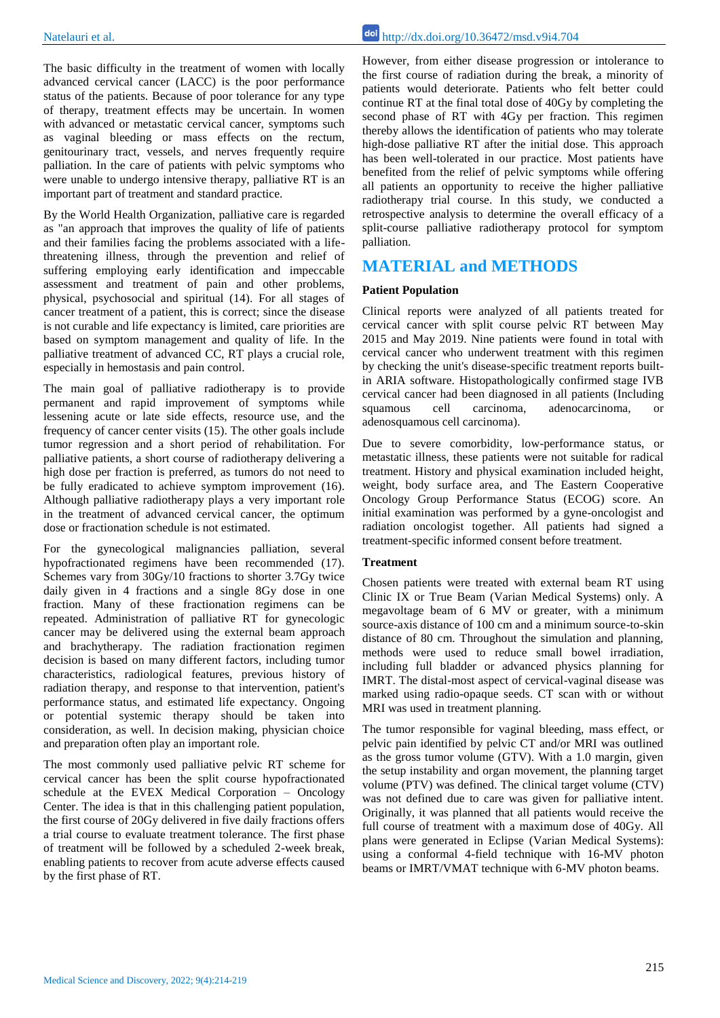The basic difficulty in the treatment of women with locally advanced cervical cancer (LACC) is the poor performance status of the patients. Because of poor tolerance for any type of therapy, treatment effects may be uncertain. In women with advanced or metastatic cervical cancer, symptoms such as vaginal bleeding or mass effects on the rectum, genitourinary tract, vessels, and nerves frequently require palliation. In the care of patients with pelvic symptoms who were unable to undergo intensive therapy, palliative RT is an important part of treatment and standard practice.

By the World Health Organization, palliative care is regarded as "an approach that improves the quality of life of patients and their families facing the problems associated with a lifethreatening illness, through the prevention and relief of suffering employing early identification and impeccable assessment and treatment of pain and other problems, physical, psychosocial and spiritual (14). For all stages of cancer treatment of a patient, this is correct; since the disease is not curable and life expectancy is limited, care priorities are based on symptom management and quality of life. In the palliative treatment of advanced CC, RT plays a crucial role, especially in hemostasis and pain control.

The main goal of palliative radiotherapy is to provide permanent and rapid improvement of symptoms while lessening acute or late side effects, resource use, and the frequency of cancer center visits (15). The other goals include tumor regression and a short period of rehabilitation. For palliative patients, a short course of radiotherapy delivering a high dose per fraction is preferred, as tumors do not need to be fully eradicated to achieve symptom improvement (16). Although palliative radiotherapy plays a very important role in the treatment of advanced cervical cancer, the optimum dose or fractionation schedule is not estimated.

For the gynecological malignancies palliation, several hypofractionated regimens have been recommended (17). Schemes vary from 30Gy/10 fractions to shorter 3.7Gy twice daily given in 4 fractions and a single 8Gy dose in one fraction. Many of these fractionation regimens can be repeated. Administration of palliative RT for gynecologic cancer may be delivered using the external beam approach and brachytherapy. The radiation fractionation regimen decision is based on many different factors, including tumor characteristics, radiological features, previous history of radiation therapy, and response to that intervention, patient's performance status, and estimated life expectancy. Ongoing or potential systemic therapy should be taken into consideration, as well. In decision making, physician choice and preparation often play an important role.

The most commonly used palliative pelvic RT scheme for cervical cancer has been the split course hypofractionated schedule at the EVEX Medical Corporation – Oncology Center. The idea is that in this challenging patient population, the first course of 20Gy delivered in five daily fractions offers a trial course to evaluate treatment tolerance. The first phase of treatment will be followed by a scheduled 2-week break, enabling patients to recover from acute adverse effects caused by the first phase of RT.

However, from either disease progression or intolerance to the first course of radiation during the break, a minority of patients would deteriorate. Patients who felt better could continue RT at the final total dose of 40Gy by completing the second phase of RT with 4Gy per fraction. This regimen thereby allows the identification of patients who may tolerate high-dose palliative RT after the initial dose. This approach has been well-tolerated in our practice. Most patients have benefited from the relief of pelvic symptoms while offering all patients an opportunity to receive the higher palliative radiotherapy trial course. In this study, we conducted a retrospective analysis to determine the overall efficacy of a split-course palliative radiotherapy protocol for symptom palliation.

## **MATERIAL and METHODS**

#### **Patient Population**

Clinical reports were analyzed of all patients treated for cervical cancer with split course pelvic RT between May 2015 and May 2019. Nine patients were found in total with cervical cancer who underwent treatment with this regimen by checking the unit's disease-specific treatment reports builtin ARIA software. Histopathologically confirmed stage IVB cervical cancer had been diagnosed in all patients (Including squamous cell carcinoma, adenocarcinoma, or adenosquamous cell carcinoma).

Due to severe comorbidity, low-performance status, or metastatic illness, these patients were not suitable for radical treatment. History and physical examination included height, weight, body surface area, and The Eastern Cooperative Oncology Group Performance Status (ECOG) score. An initial examination was performed by a gyne-oncologist and radiation oncologist together. All patients had signed a treatment-specific informed consent before treatment.

#### **Treatment**

Chosen patients were treated with external beam RT using Clinic IX or True Beam (Varian Medical Systems) only. A megavoltage beam of 6 MV or greater, with a minimum source-axis distance of 100 cm and a minimum source-to-skin distance of 80 cm. Throughout the simulation and planning, methods were used to reduce small bowel irradiation, including full bladder or advanced physics planning for IMRT. The distal-most aspect of cervical-vaginal disease was marked using radio-opaque seeds. CT scan with or without MRI was used in treatment planning.

The tumor responsible for vaginal bleeding, mass effect, or pelvic pain identified by pelvic CT and/or MRI was outlined as the gross tumor volume (GTV). With a 1.0 margin, given the setup instability and organ movement, the planning target volume (PTV) was defined. The clinical target volume (CTV) was not defined due to care was given for palliative intent. Originally, it was planned that all patients would receive the full course of treatment with a maximum dose of 40Gy. All plans were generated in Eclipse (Varian Medical Systems): using a conformal 4-field technique with 16-MV photon beams or IMRT/VMAT technique with 6-MV photon beams.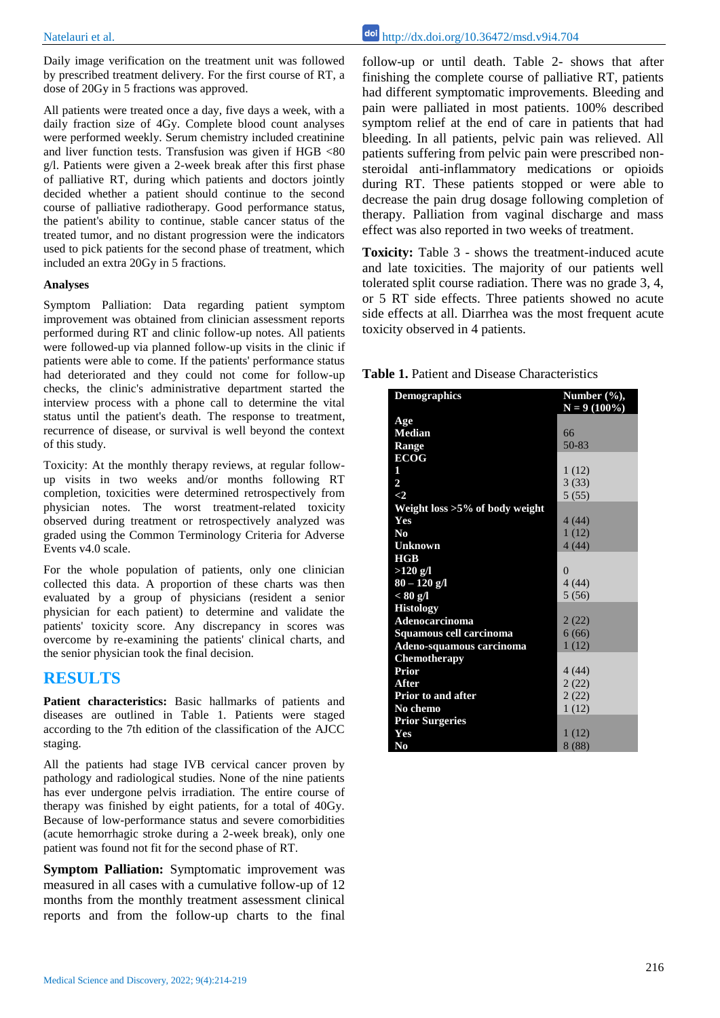Daily image verification on the treatment unit was followed by prescribed treatment delivery. For the first course of RT, a dose of 20Gy in 5 fractions was approved.

All patients were treated once a day, five days a week, with a daily fraction size of 4Gy. Complete blood count analyses were performed weekly. Serum chemistry included creatinine and liver function tests. Transfusion was given if HGB <80 g/l. Patients were given a 2-week break after this first phase of palliative RT, during which patients and doctors jointly decided whether a patient should continue to the second course of palliative radiotherapy. Good performance status, the patient's ability to continue, stable cancer status of the treated tumor, and no distant progression were the indicators used to pick patients for the second phase of treatment, which included an extra 20Gy in 5 fractions.

#### **Analyses**

Symptom Palliation: Data regarding patient symptom improvement was obtained from clinician assessment reports performed during RT and clinic follow-up notes. All patients were followed-up via planned follow-up visits in the clinic if patients were able to come. If the patients' performance status had deteriorated and they could not come for follow-up checks, the clinic's administrative department started the interview process with a phone call to determine the vital status until the patient's death. The response to treatment, recurrence of disease, or survival is well beyond the context of this study.

Toxicity: At the monthly therapy reviews, at regular followup visits in two weeks and/or months following RT completion, toxicities were determined retrospectively from physician notes. The worst treatment-related toxicity observed during treatment or retrospectively analyzed was graded using the Common Terminology Criteria for Adverse Events v4.0 scale.

For the whole population of patients, only one clinician collected this data. A proportion of these charts was then evaluated by a group of physicians (resident a senior physician for each patient) to determine and validate the patients' toxicity score. Any discrepancy in scores was overcome by re-examining the patients' clinical charts, and the senior physician took the final decision.

### **RESULTS**

**Patient characteristics:** Basic hallmarks of patients and diseases are outlined in Table 1. Patients were staged according to the 7th edition of the classification of the AJCC staging.

All the patients had stage IVB cervical cancer proven by pathology and radiological studies. None of the nine patients has ever undergone pelvis irradiation. The entire course of therapy was finished by eight patients, for a total of 40Gy. Because of low-performance status and severe comorbidities (acute hemorrhagic stroke during a 2-week break), only one patient was found not fit for the second phase of RT.

**Symptom Palliation:** Symptomatic improvement was measured in all cases with a cumulative follow-up of 12 months from the monthly treatment assessment clinical reports and from the follow-up charts to the final

Natelauri et al. http://dx.doi.org/10.36472/msd.v9i4.704

follow-up or until death. Table 2- shows that after finishing the complete course of palliative RT, patients had different symptomatic improvements. Bleeding and pain were palliated in most patients. 100% described symptom relief at the end of care in patients that had bleeding. In all patients, pelvic pain was relieved. All patients suffering from pelvic pain were prescribed nonsteroidal anti-inflammatory medications or opioids during RT. These patients stopped or were able to decrease the pain drug dosage following completion of therapy. Palliation from vaginal discharge and mass effect was also reported in two weeks of treatment.

**Toxicity:** Table 3 - shows the treatment-induced acute and late toxicities. The majority of our patients well tolerated split course radiation. There was no grade 3, 4, or 5 RT side effects. Three patients showed no acute side effects at all. Diarrhea was the most frequent acute toxicity observed in 4 patients.

| <b>Demographics</b>               | Number $(\frac{6}{6}),$ |
|-----------------------------------|-------------------------|
| Age                               | $N = 9(100\%)$          |
| <b>Median</b>                     | 66                      |
| Range                             | 50-83                   |
| <b>ECOG</b>                       |                         |
| 1                                 | 1(12)                   |
| $\overline{2}$                    | 3(33)                   |
| $\leq$ 2                          | 5(55)                   |
| Weight loss $>5\%$ of body weight |                         |
| Yes                               | 4 (44)                  |
| $\mathbf{N}\mathbf{0}$            | 1(12)                   |
| <b>Unknown</b>                    | 4(44)                   |
| HGB                               |                         |
| $>120$ g/l                        | $\theta$                |
| $80 - 120$ g/l                    | 4(44)                   |
| < 80 g/l                          | 5(56)                   |
| <b>Histology</b>                  |                         |
| Adenocarcinoma                    | 2(22)                   |
| Squamous cell carcinoma           | 6(66)                   |
| Adeno-squamous carcinoma          | 1(12)                   |
| Chemotherapy                      |                         |
| Prior                             | 4(44)                   |
| After                             | 2(22)                   |
| <b>Prior to and after</b>         | 2(22)                   |
| No chemo                          | 1(12)                   |
| <b>Prior Surgeries</b>            |                         |
| Yes                               | 1(12)                   |
| $\mathbf{N}\mathbf{o}$            | 8(88)                   |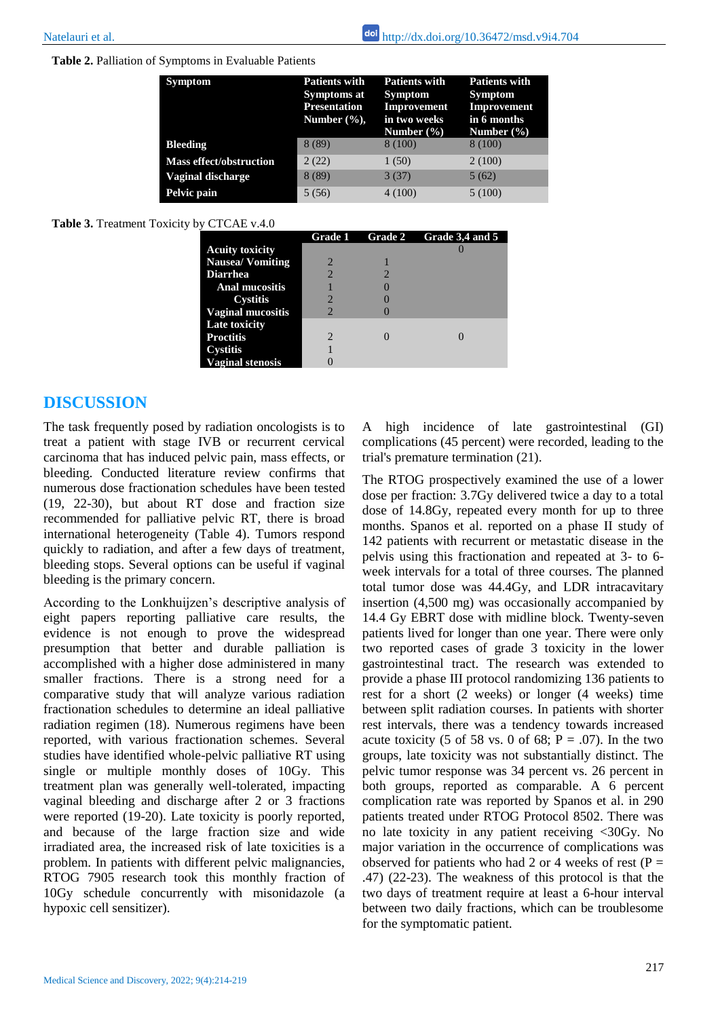**Table 2.** Palliation of Symptoms in Evaluable Patients

| <b>Symptom</b>                 | <b>Patients with</b><br>Symptoms at<br><b>Presentation</b><br>Number $(\%).$ | <b>Patients with</b><br><b>Symptom</b><br><b>Improvement</b><br>in two weeks<br>Number $(\% )$ | <b>Patients with</b><br><b>Symptom</b><br><b>Improvement</b><br>in 6 months<br>Number $(\% )$ |
|--------------------------------|------------------------------------------------------------------------------|------------------------------------------------------------------------------------------------|-----------------------------------------------------------------------------------------------|
| <b>Bleeding</b>                | 8(89)                                                                        | 8 (100)                                                                                        | 8 (100)                                                                                       |
| <b>Mass effect/obstruction</b> | 2(22)                                                                        | 1(50)                                                                                          | 2(100)                                                                                        |
| Vaginal discharge              | 8(89)                                                                        | 3(37)                                                                                          | 5(62)                                                                                         |
| Pelvic pain                    | 5(56)                                                                        | 4(100)                                                                                         | 5(100)                                                                                        |

Table 3. Treatment Toxicity by CTCAE v.4.0

|                          | <b>Grade 1</b>              | <b>Grade 2</b> | Grade 3,4 and 5 |
|--------------------------|-----------------------------|----------------|-----------------|
| <b>Acuity toxicity</b>   |                             |                |                 |
| <b>Nausea/Vomiting</b>   |                             |                |                 |
| <b>Diarrhea</b>          | $\mathcal{D}$               |                |                 |
| <b>Anal mucositis</b>    |                             |                |                 |
| Cystitis                 |                             |                |                 |
| <b>Vaginal mucositis</b> | 2                           |                |                 |
| Late toxicity            |                             |                |                 |
| <b>Proctitis</b>         | $\mathcal{D}_{\mathcal{L}}$ |                |                 |
| Cystitis                 |                             |                |                 |
| <b>Vaginal stenosis</b>  |                             |                |                 |

## **DISCUSSION**

The task frequently posed by radiation oncologists is to treat a patient with stage IVB or recurrent cervical carcinoma that has induced pelvic pain, mass effects, or bleeding. Conducted literature review confirms that numerous dose fractionation schedules have been tested (19, 22-30), but about RT dose and fraction size recommended for palliative pelvic RT, there is broad international heterogeneity (Table 4). Tumors respond quickly to radiation, and after a few days of treatment, bleeding stops. Several options can be useful if vaginal bleeding is the primary concern.

According to the Lonkhuijzen's descriptive analysis of eight papers reporting palliative care results, the evidence is not enough to prove the widespread presumption that better and durable palliation is accomplished with a higher dose administered in many smaller fractions. There is a strong need for a comparative study that will analyze various radiation fractionation schedules to determine an ideal palliative radiation regimen (18). Numerous regimens have been reported, with various fractionation schemes. Several studies have identified whole-pelvic palliative RT using single or multiple monthly doses of 10Gy. This treatment plan was generally well-tolerated, impacting vaginal bleeding and discharge after 2 or 3 fractions were reported (19-20). Late toxicity is poorly reported, and because of the large fraction size and wide irradiated area, the increased risk of late toxicities is a problem. In patients with different pelvic malignancies, RTOG 7905 research took this monthly fraction of 10Gy schedule concurrently with misonidazole (a hypoxic cell sensitizer).

A high incidence of late gastrointestinal (GI) complications (45 percent) were recorded, leading to the trial's premature termination (21).

The RTOG prospectively examined the use of a lower dose per fraction: 3.7Gy delivered twice a day to a total dose of 14.8Gy, repeated every month for up to three months. Spanos et al. reported on a phase II study of 142 patients with recurrent or metastatic disease in the pelvis using this fractionation and repeated at 3- to 6 week intervals for a total of three courses. The planned total tumor dose was 44.4Gy, and LDR intracavitary insertion (4,500 mg) was occasionally accompanied by 14.4 Gy EBRT dose with midline block. Twenty-seven patients lived for longer than one year. There were only two reported cases of grade 3 toxicity in the lower gastrointestinal tract. The research was extended to provide a phase III protocol randomizing 136 patients to rest for a short (2 weeks) or longer (4 weeks) time between split radiation courses. In patients with shorter rest intervals, there was a tendency towards increased acute toxicity (5 of 58 vs. 0 of 68;  $P = .07$ ). In the two groups, late toxicity was not substantially distinct. The pelvic tumor response was 34 percent vs. 26 percent in both groups, reported as comparable. A 6 percent complication rate was reported by Spanos et al. in 290 patients treated under RTOG Protocol 8502. There was no late toxicity in any patient receiving <30Gy. No major variation in the occurrence of complications was observed for patients who had 2 or 4 weeks of rest ( $P =$ .47) (22-23). The weakness of this protocol is that the two days of treatment require at least a 6-hour interval between two daily fractions, which can be troublesome for the symptomatic patient.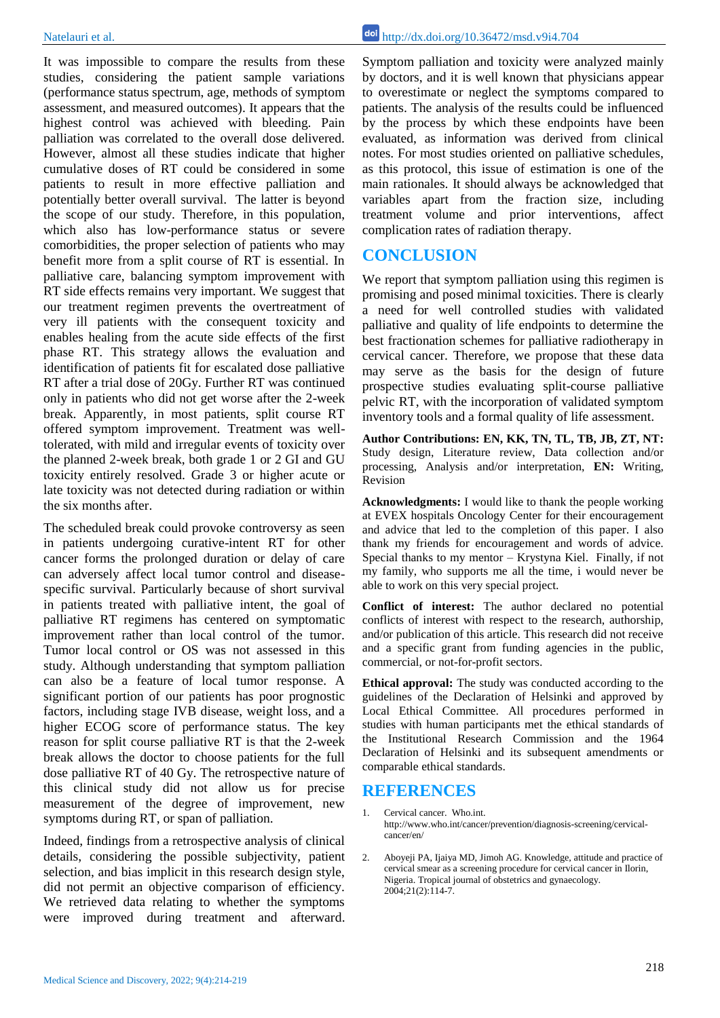It was impossible to compare the results from these studies, considering the patient sample variations (performance status spectrum, age, methods of symptom assessment, and measured outcomes). It appears that the highest control was achieved with bleeding. Pain palliation was correlated to the overall dose delivered. However, almost all these studies indicate that higher cumulative doses of RT could be considered in some patients to result in more effective palliation and potentially better overall survival. The latter is beyond the scope of our study. Therefore, in this population, which also has low-performance status or severe comorbidities, the proper selection of patients who may benefit more from a split course of RT is essential. In palliative care, balancing symptom improvement with RT side effects remains very important. We suggest that our treatment regimen prevents the overtreatment of very ill patients with the consequent toxicity and enables healing from the acute side effects of the first phase RT. This strategy allows the evaluation and identification of patients fit for escalated dose palliative RT after a trial dose of 20Gy. Further RT was continued only in patients who did not get worse after the 2-week break. Apparently, in most patients, split course RT offered symptom improvement. Treatment was welltolerated, with mild and irregular events of toxicity over the planned 2-week break, both grade 1 or 2 GI and GU toxicity entirely resolved. Grade 3 or higher acute or late toxicity was not detected during radiation or within the six months after.

The scheduled break could provoke controversy as seen in patients undergoing curative-intent RT for other cancer forms the prolonged duration or delay of care can adversely affect local tumor control and diseasespecific survival. Particularly because of short survival in patients treated with palliative intent, the goal of palliative RT regimens has centered on symptomatic improvement rather than local control of the tumor. Tumor local control or OS was not assessed in this study. Although understanding that symptom palliation can also be a feature of local tumor response. A significant portion of our patients has poor prognostic factors, including stage IVB disease, weight loss, and a higher ECOG score of performance status. The key reason for split course palliative RT is that the 2-week break allows the doctor to choose patients for the full dose palliative RT of 40 Gy. The retrospective nature of this clinical study did not allow us for precise measurement of the degree of improvement, new symptoms during RT, or span of palliation.

Indeed, findings from a retrospective analysis of clinical details, considering the possible subjectivity, patient selection, and bias implicit in this research design style, did not permit an objective comparison of efficiency. We retrieved data relating to whether the symptoms were improved during treatment and afterward.

Symptom palliation and toxicity were analyzed mainly by doctors, and it is well known that physicians appear to overestimate or neglect the symptoms compared to patients. The analysis of the results could be influenced by the process by which these endpoints have been evaluated, as information was derived from clinical notes. For most studies oriented on palliative schedules, as this protocol, this issue of estimation is one of the main rationales. It should always be acknowledged that variables apart from the fraction size, including treatment volume and prior interventions, affect complication rates of radiation therapy.

## **CONCLUSION**

We report that symptom palliation using this regimen is promising and posed minimal toxicities. There is clearly a need for well controlled studies with validated palliative and quality of life endpoints to determine the best fractionation schemes for palliative radiotherapy in cervical cancer. Therefore, we propose that these data may serve as the basis for the design of future prospective studies evaluating split-course palliative pelvic RT, with the incorporation of validated symptom inventory tools and a formal quality of life assessment.

**Author Contributions: EN, KK, TN, TL, TB, JB, ZT, NT:**  Study design, Literature review, Data collection and/or processing, Analysis and/or interpretation, **EN:** Writing, Revision

**Acknowledgments:** I would like to thank the people working at EVEX hospitals Oncology Center for their encouragement and advice that led to the completion of this paper. I also thank my friends for encouragement and words of advice. Special thanks to my mentor – Krystyna Kiel. Finally, if not my family, who supports me all the time, i would never be able to work on this very special project.

**Conflict of interest:** The author declared no potential conflicts of interest with respect to the research, authorship, and/or publication of this article. This research did not receive and a specific grant from funding agencies in the public, commercial, or not-for-profit sectors.

**Ethical approval:** The study was conducted according to the guidelines of the Declaration of Helsinki and approved by Local Ethical Committee. All procedures performed in studies with human participants met the ethical standards of the Institutional Research Commission and the 1964 Declaration of Helsinki and its subsequent amendments or comparable ethical standards.

## **REFERENCES**

- 1. Cervical cancer. Who.int. http://www.who.int/cancer/prevention/diagnosis-screening/cervicalcancer/en/
- 2. Aboyeji PA, Ijaiya MD, Jimoh AG. Knowledge, attitude and practice of cervical smear as a screening procedure for cervical cancer in Ilorin, Nigeria. Tropical journal of obstetrics and gynaecology. 2004;21(2):114-7.